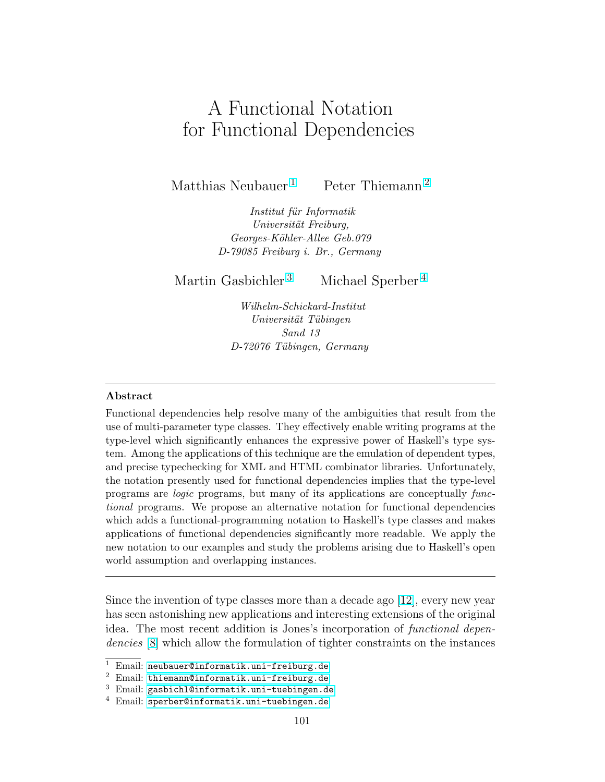# A Functional Notation for Functional Dependencies

Matthias Neubauer<sup>1</sup> Peter Thiemann<sup>2</sup>

Institut für Informatik Universität Freiburg, Georges-Köhler-Allee Geb.079 D-79085 Freiburg i. Br., Germany

Martin Gasbichler<sup>3</sup> Michael Sperber<sup>4</sup>

Wilhelm-Schickard-Institut Universität Tübingen Sand 13 D-72076 Tübingen, Germany

#### Abstract

Functional dependencies help resolve many of the ambiguities that result from the use of multi-parameter type classes. They effectively enable writing programs at the type-level which significantly enhances the expressive power of Haskell's type system. Among the applications of this technique are the emulation of dependent types, and precise typechecking for XML and HTML combinator libraries. Unfortunately, the notation presently used for functional dependencies implies that the type-level programs are logic programs, but many of its applications are conceptually functional programs. We propose an alternative notation for functional dependencies which adds a functional-programming notation to Haskell's type classes and makes applications of functional dependencies significantly more readable. We apply the new notation to our examples and study the problems arising due to Haskell's open world assumption and overlapping instances.

Since the invention of type classes more than a decade ago [\[12\]](#page-17-0), every new year has seen astonishing new applications and interesting extensions of the original idea. The most recent addition is Jones's incorporation of functional dependencies [\[8\]](#page-17-0) which allow the formulation of tighter constraints on the instances

<sup>1</sup> Email: [neubauer@informatik.uni-freiburg.de](mailto:neubauer@informatik.uni-freiburg.de)

<sup>2</sup> Email: [thiemann@informatik.uni-freiburg.de](mailto:thiemann@informatik.uni-freiburg.de)

<sup>3</sup> Email: [gasbichl@informatik.uni-tuebingen.de](mailto:gasbichl@informatik.uni-tuebingen.de)

 $4$  Email: [sperber@informatik.uni-tuebingen.de](mailto:sperber@informatik.uni-tuebingen.de)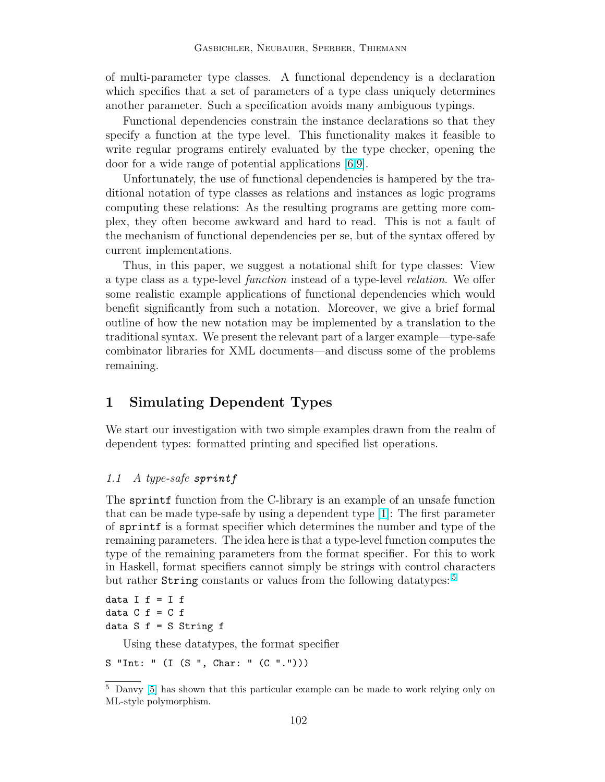<span id="page-1-0"></span>of multi-parameter type classes. A functional dependency is a declaration which specifies that a set of parameters of a type class uniquely determines another parameter. Such a specification avoids many ambiguous typings.

Functional dependencies constrain the instance declarations so that they specify a function at the type level. This functionality makes it feasible to write regular programs entirely evaluated by the type checker, opening the door for a wide range of potential applications [\[6,9\]](#page-17-0).

Unfortunately, the use of functional dependencies is hampered by the traditional notation of type classes as relations and instances as logic programs computing these relations: As the resulting programs are getting more complex, they often become awkward and hard to read. This is not a fault of the mechanism of functional dependencies per se, but of the syntax offered by current implementations.

Thus, in this paper, we suggest a notational shift for type classes: View a type class as a type-level function instead of a type-level relation. We offer some realistic example applications of functional dependencies which would benefit significantly from such a notation. Moreover, we give a brief formal outline of how the new notation may be implemented by a translation to the traditional syntax. We present the relevant part of a larger example—type-safe combinator libraries for XML documents—and discuss some of the problems remaining.

# 1 Simulating Dependent Types

We start our investigation with two simple examples drawn from the realm of dependent types: formatted printing and specified list operations.

### 1.1 A type-safe sprintf

The sprintf function from the C-library is an example of an unsafe function that can be made type-safe by using a dependent type [\[1\]](#page-16-0): The first parameter of sprintf is a format specifier which determines the number and type of the remaining parameters. The idea here is that a type-level function computes the type of the remaining parameters from the format specifier. For this to work in Haskell, format specifiers cannot simply be strings with control characters but rather String constants or values from the following datatypes:  $5$ 

```
data I f = I fdata C f = C fdata S f = S String f
```
Using these datatypes, the format specifier

```
S "Int: " (I (S ", Char: " (C ".")))
```
<sup>5</sup> Danvy [\[5\]](#page-17-0) has shown that this particular example can be made to work relying only on ML-style polymorphism.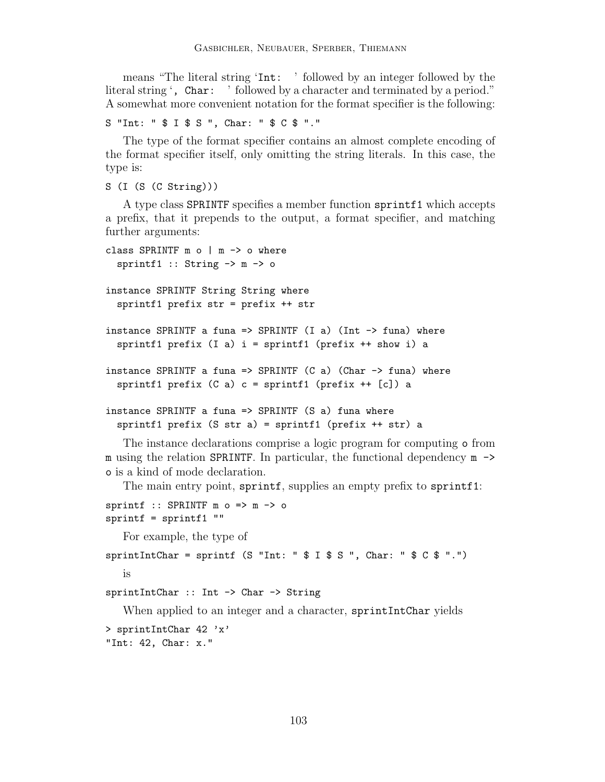means "The literal string 'Int: ' followed by an integer followed by the literal string ', Char: ' followed by a character and terminated by a period." A somewhat more convenient notation for the format specifier is the following:

S "Int: " \$ I \$ S ", Char: " \$ C \$ "."

The type of the format specifier contains an almost complete encoding of the format specifier itself, only omitting the string literals. In this case, the type is:

```
S (I (S (C String)))
```
A type class SPRINTF specifies a member function sprintf1 which accepts a prefix, that it prepends to the output, a format specifier, and matching further arguments:

```
class SPRINTF m o | m -> o where
  sprintf1 :: String -> m -> o
instance SPRINTF String String where
  sprintf1 prefix str = prefix ++ str
instance SPRINTF a funa => SPRINTF (I a) (Int -> funa) where
  sprintf1 prefix (I a) i = sprintf1 (prefix ++ show i) a
instance SPRINTF a funa => SPRINTF (C \ a) (Char \rightarrow func) where
  sprintf1 prefix (C a) c = sprintf1 (prefix ++ [c]) a
instance SPRINTF a funa => SPRINTF (S a) funa where
  sprintf1 prefix (S str a) = sprintf1 (prefix ++ str) a
```
The instance declarations comprise a logic program for computing o from m using the relation SPRINTF. In particular, the functional dependency m -> o is a kind of mode declaration.

The main entry point, sprintf, supplies an empty prefix to sprintf1:

```
sprintf :: SPRINTF m o \Rightarrow m \Rightarrow osprintf = sprintf1 ""
   For example, the type of
sprintIntChar = sprintf (S "Int: " $I $S", Char: " $C $".")
   is
sprintIntChar :: Int -> Char -> String
   When applied to an integer and a character, sprintIntChar yields
```

```
> sprintIntChar 42 'x'
"Int: 42, Char: x."
```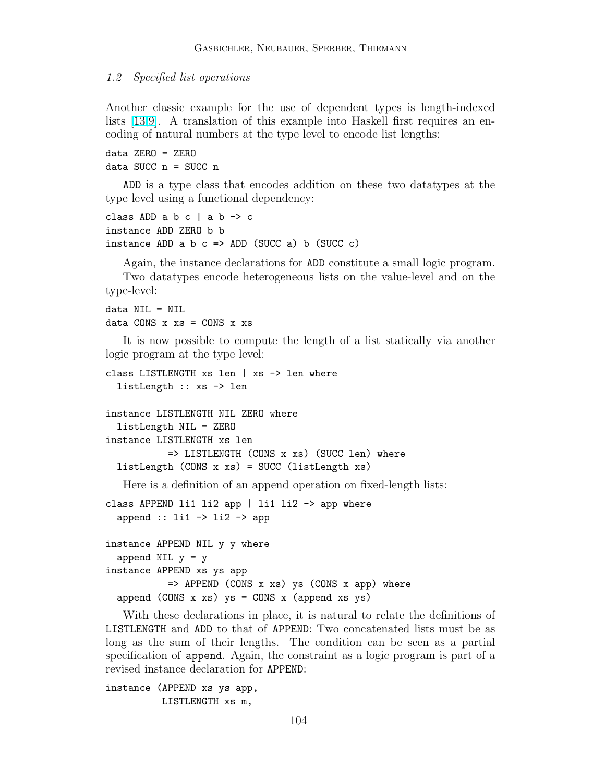#### 1.2 Specified list operations

Another classic example for the use of dependent types is length-indexed lists [\[13,9\]](#page-17-0). A translation of this example into Haskell first requires an encoding of natural numbers at the type level to encode list lengths:

```
data ZERO = ZERO
data SUCC n = SUCC n
```
ADD is a type class that encodes addition on these two datatypes at the type level using a functional dependency:

```
class ADD a b c | a b \rightarrow cinstance ADD ZERO b b
instance ADD a b c \Rightarrow ADD (SUCC a) b (SUCC c)
```
Again, the instance declarations for ADD constitute a small logic program.

Two datatypes encode heterogeneous lists on the value-level and on the type-level:

```
data NIL = NIL
data CONS x xs = CONS x xs
```
It is now possible to compute the length of a list statically via another logic program at the type level:

```
class LISTLENGTH xs len | xs -> len where
  listLength :: xs -> len
instance LISTLENGTH NIL ZERO where
  listLength NIL = ZERO
instance LISTLENGTH xs len
            => LISTLENGTH (CONS x xs) (SUCC len) where
  listLength (CONS x xs) = SUCC (listLength xs)
   Here is a definition of an append operation on fixed-length lists:
class APPEND li1 li2 app | li1 li2 -> app where
  append :: li1 \rightarrow li2 \rightarrow app
```

```
instance APPEND NIL y y where
 append NIL y = yinstance APPEND xs ys app
           => APPEND (CONS x xs) ys (CONS x app) where
 append (CONS x xs) ys = CONS x (append xs ys)
```
With these declarations in place, it is natural to relate the definitions of LISTLENGTH and ADD to that of APPEND: Two concatenated lists must be as long as the sum of their lengths. The condition can be seen as a partial specification of append. Again, the constraint as a logic program is part of a revised instance declaration for APPEND:

instance (APPEND xs ys app, LISTLENGTH xs m,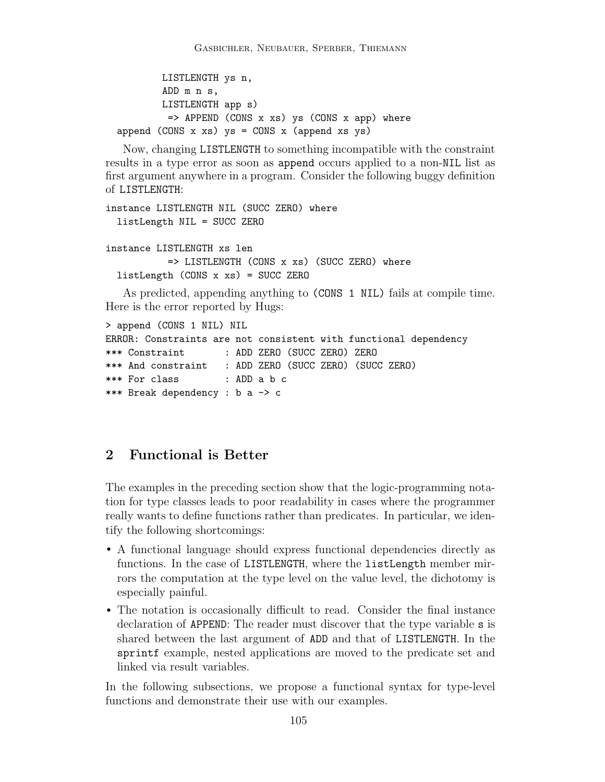```
LISTLENGTH ys n,
        ADD m n s,
        LISTLENGTH app s)
         \Rightarrow APPEND (CONS x xs) ys (CONS x app) where
append (CONS x xs) ys = CONS x (append xs ys)
```
Now, changing LISTLENGTH to something incompatible with the constraint results in a type error as soon as append occurs applied to a non-NIL list as first argument anywhere in a program. Consider the following buggy definition of LISTLENGTH:

```
instance LISTLENGTH NIL (SUCC ZERO) where
  listLength NIL = SUCC ZERO
```

```
instance LISTLENGTH xs len
           => LISTLENGTH (CONS x xs) (SUCC ZERO) where
  listLength (CONS x xs) = SUCC ZERO
```
As predicted, appending anything to (CONS 1 NIL) fails at compile time. Here is the error reported by Hugs:

```
> append (CONS 1 NIL) NIL
ERROR: Constraints are not consistent with functional dependency
*** Constraint : ADD ZERO (SUCC ZERO) ZERO
*** And constraint : ADD ZERO (SUCC ZERO) (SUCC ZERO)
*** For class : ADD a b c
*** Break dependency : b a -> c
```
# 2 Functional is Better

The examples in the preceding section show that the logic-programming notation for type classes leads to poor readability in cases where the programmer really wants to define functions rather than predicates. In particular, we identify the following shortcomings:

- A functional language should express functional dependencies directly as functions. In the case of LISTLENGTH, where the listLength member mirrors the computation at the type level on the value level, the dichotomy is especially painful.
- The notation is occasionally difficult to read. Consider the final instance declaration of APPEND: The reader must discover that the type variable s is shared between the last argument of ADD and that of LISTLENGTH. In the sprintf example, nested applications are moved to the predicate set and linked via result variables.

In the following subsections, we propose a functional syntax for type-level functions and demonstrate their use with our examples.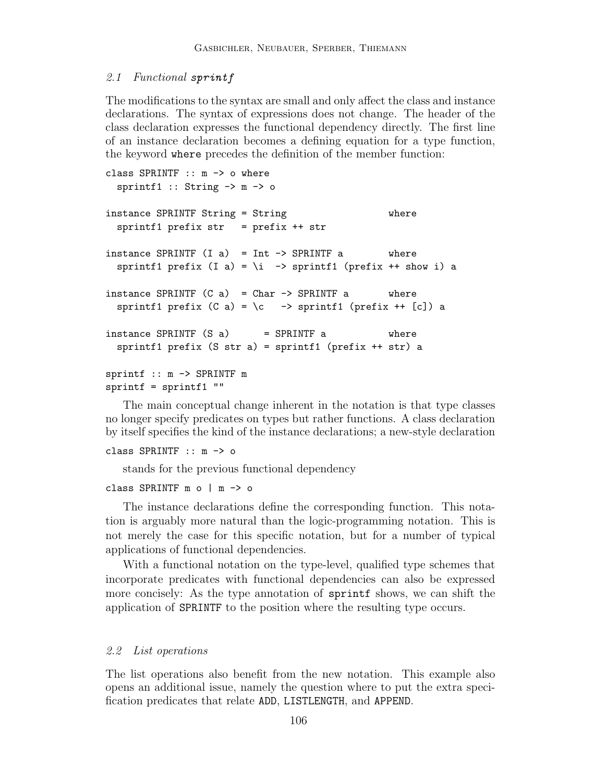#### 2.1 Functional sprintf

The modifications to the syntax are small and only affect the class and instance declarations. The syntax of expressions does not change. The header of the class declaration expresses the functional dependency directly. The first line of an instance declaration becomes a defining equation for a type function, the keyword where precedes the definition of the member function:

```
class SPRINTF :: m -> o where
  sprintf1 :: String \rightarrow m \rightarrow oinstance SPRINTF String = String where
  sprintf1 prefix str = prefix ++ strinstance SPRINTF (I \t a) = Int \t -\t SPRINTF a where
  sprintf1 prefix (I a) = \iota -> sprintf1 (prefix ++ show i) a
instance SPRINTF (C \ a) = Char \rightarrow SPRINTER where
  sprintf1 prefix (C a) = \c -\n sprintf1 (prefix ++ [c]) a
instance SPRINTF (S \t a) = SPRINTF a where
  sprintf1 prefix (S str a) = sprintf1 (prefix ++ str) a
sprintf :: m -> SPRINTF m
sprintf = sprintf1 ""
```
The main conceptual change inherent in the notation is that type classes no longer specify predicates on types but rather functions. A class declaration by itself specifies the kind of the instance declarations; a new-style declaration

```
class SPRINTF :: m -> o
```
stands for the previous functional dependency

```
class SPRINTF m o | m -> o
```
The instance declarations define the corresponding function. This notation is arguably more natural than the logic-programming notation. This is not merely the case for this specific notation, but for a number of typical applications of functional dependencies.

With a functional notation on the type-level, qualified type schemes that incorporate predicates with functional dependencies can also be expressed more concisely: As the type annotation of sprintf shows, we can shift the application of SPRINTF to the position where the resulting type occurs.

#### 2.2 List operations

The list operations also benefit from the new notation. This example also opens an additional issue, namely the question where to put the extra specification predicates that relate ADD, LISTLENGTH, and APPEND.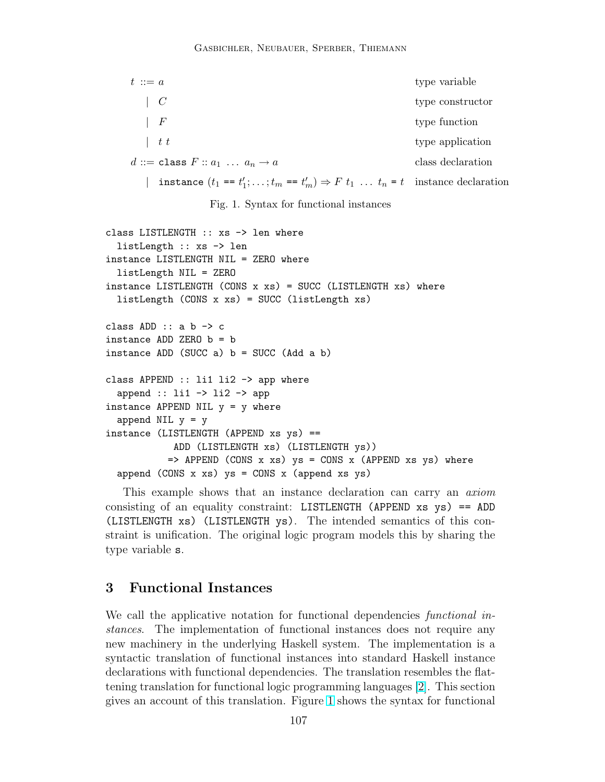<span id="page-6-0"></span> $t := a$  type variable | C type constructor | F type function  $\left| t \right| t$  type application  $d ::= \text{class } F :: a_1 \ldots a_n \rightarrow a$  class declaration | instance  $(t_1 = t'_1; \ldots; t_m = t'_m) \Rightarrow F t_1 \ldots t_n = t$  instance declaration

|  |  |  |  | Fig. 1. Syntax for functional instances |  |
|--|--|--|--|-----------------------------------------|--|
|--|--|--|--|-----------------------------------------|--|

```
class LISTLENGTH :: xs -> len where
  listLength :: xs -> len
instance LISTLENGTH NIL = ZERO where
  listLength NIL = ZERO
instance LISTLENGTH (CONS x xs) = SUCC (LISTLENGTH xs) where
  listLength (CONS x xs) = SUCC (listLength xs)
class ADD :: a b \rightarrow cinstance ADD ZERO b = b
instance ADD (SUCC a) b = SUCC (Add a b)
class APPEND :: li1 li2 -> app where
  append :: li1 \rightarrow li2 \rightarrow app
instance APPEND NIL y = y where
  append NIL y = yinstance (LISTLENGTH (APPEND xs ys) ==
            ADD (LISTLENGTH xs) (LISTLENGTH ys))
            \Rightarrow APPEND (CONS x xs) ys = CONS x (APPEND xs ys) where
  append (CONS x xs) ys = CONS x (append xs ys)
```
This example shows that an instance declaration can carry an axiom consisting of an equality constraint: LISTLENGTH (APPEND xs ys) == ADD (LISTLENGTH xs) (LISTLENGTH ys). The intended semantics of this constraint is unification. The original logic program models this by sharing the type variable s.

# 3 Functional Instances

We call the applicative notation for functional dependencies *functional in*stances. The implementation of functional instances does not require any new machinery in the underlying Haskell system. The implementation is a syntactic translation of functional instances into standard Haskell instance declarations with functional dependencies. The translation resembles the flattening translation for functional logic programming languages [\[2\]](#page-16-0). This section gives an account of this translation. Figure 1 shows the syntax for functional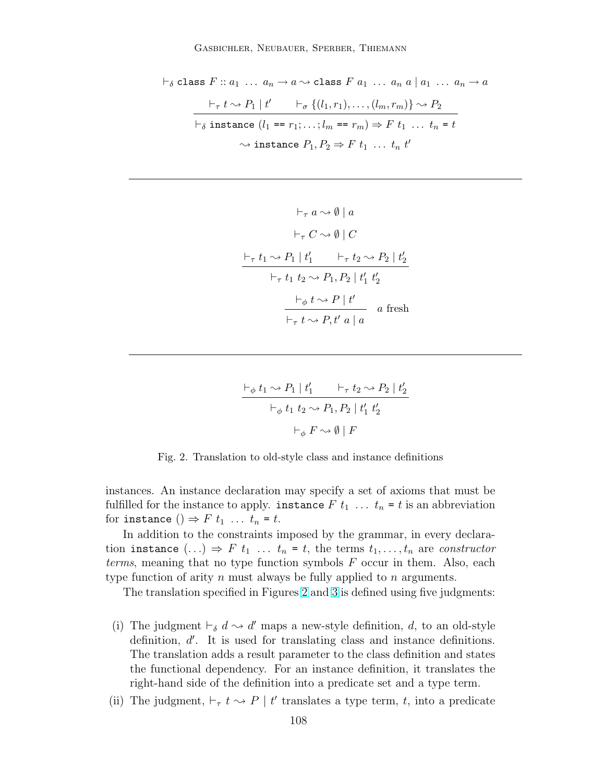$$
\vdash_{\delta} \text{class } F :: a_1 \dots a_n \to a \land \text{class } F a_1 \dots a_n \text{ a } | a_1 \dots a_n \to a
$$
\n
$$
\vdash_{\tau} t \land P_1 | t' \quad \vdash_{\sigma} \{ (l_1, r_1), \dots, (l_m, r_m) \} \land P_2
$$
\n
$$
\vdash_{\delta} \text{instance } (l_1 == r_1; \dots; l_m == r_m) \Rightarrow F t_1 \dots t_n = t
$$
\n
$$
\land \text{instance } P_1, P_2 \Rightarrow F t_1 \dots t_n t'
$$

$$
\vdash_{\tau} a \leadsto \emptyset \mid a
$$
\n
$$
\vdash_{\tau} C \leadsto \emptyset \mid C
$$
\n
$$
\vdash_{\tau} t_1 \leadsto P_1 \mid t'_1 \qquad \vdash_{\tau} t_2 \leadsto P_2 \mid t'_2
$$
\n
$$
\vdash_{\tau} t_1 t_2 \leadsto P_1, P_2 \mid t'_1 t'_2
$$
\n
$$
\vdash_{\phi} t \leadsto P \mid t'
$$
\n
$$
\vdash_{\tau} t \leadsto P, t' \mid a \mid a
$$
 fresh

$$
\vdash_{\phi} t_1 \rightsquigarrow P_1 \mid t'_1 \qquad \vdash_{\tau} t_2 \rightsquigarrow P_2 \mid t'_2
$$

$$
\vdash_{\phi} t_1 \quad t_2 \rightsquigarrow P_1, P_2 \mid t'_1 \quad t'_2
$$

$$
\vdash_{\phi} F \rightsquigarrow \emptyset \mid F
$$

Fig. 2. Translation to old-style class and instance definitions

instances. An instance declaration may specify a set of axioms that must be fulfilled for the instance to apply. instance  $F t_1 \ldots t_n = t$  is an abbreviation for instance ()  $\Rightarrow$  F  $t_1$  ...  $t_n = t$ .

In addition to the constraints imposed by the grammar, in every declaration instance  $(...) \Rightarrow F t_1 ... t_n = t$ , the terms  $t_1,...,t_n$  are constructor *terms*, meaning that no type function symbols  $F$  occur in them. Also, each type function of arity n must always be fully applied to n arguments.

The translation specified in Figures 2 and [3](#page-8-0) is defined using five judgments:

- (i) The judgment  $\vdash_{\delta} d \leadsto d'$  maps a new-style definition, d, to an old-style definition,  $d'$ . It is used for translating class and instance definitions. The translation adds a result parameter to the class definition and states the functional dependency. For an instance definition, it translates the right-hand side of the definition into a predicate set and a type term.
- (ii) The judgment,  $\vdash_{\tau} t \leadsto P | t'$  translates a type term, t, into a predicate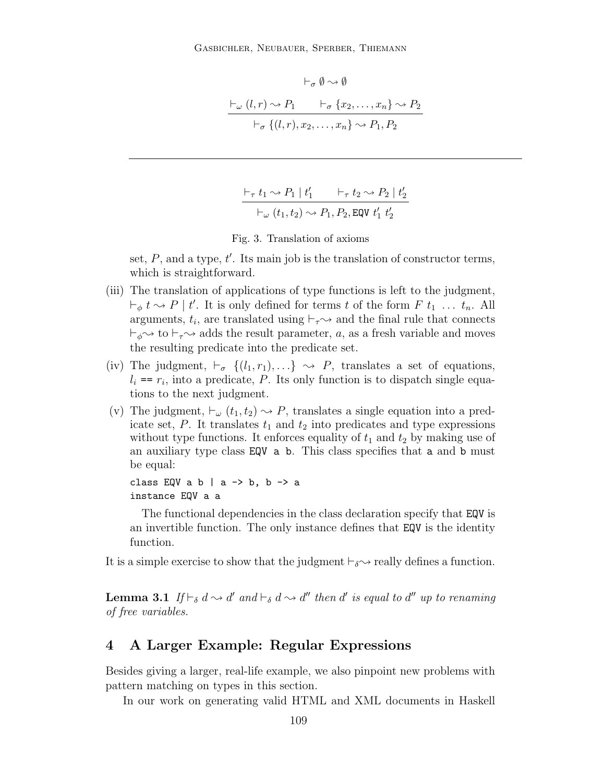<span id="page-8-0"></span>
$$
\vdash_{\sigma} \emptyset \leadsto \emptyset
$$
\n
$$
\vdash_{\omega} (l,r) \leadsto P_1 \qquad \vdash_{\sigma} \{x_2, \ldots, x_n\} \leadsto P_2
$$
\n
$$
\vdash_{\sigma} \{(l,r), x_2, \ldots, x_n\} \leadsto P_1, P_2
$$

$$
\frac{\vdash_{\tau} t_1 \rightsquigarrow P_1 \mid t_1'}{\vdash_{\omega} (t_1, t_2) \rightsquigarrow P_1, P_2, \text{EqV } t_1' \mid t_2'}
$$

Fig. 3. Translation of axioms

set,  $P$ , and a type,  $t'$ . Its main job is the translation of constructor terms, which is straightforward.

- (iii) The translation of applications of type functions is left to the judgment,  $\vdash_{\phi} t \leadsto P | t'$ . It is only defined for terms t of the form  $F t_1 \ldots t_n$ . All arguments,  $t_i$ , are translated using  $\vdash_{\tau} \leadsto$  and the final rule that connects  $\vdash_{\phi} \rightsquigarrow$  to  $\vdash_{\tau} \rightsquigarrow$  adds the result parameter, a, as a fresh variable and moves the resulting predicate into the predicate set.
- (iv) The judgment,  $\vdash_{\sigma} \{ (l_1, r_1), \ldots \} \leadsto P$ , translates a set of equations,  $l_i == r_i$ , into a predicate, P. Its only function is to dispatch single equations to the next judgment.
- (v) The judgment,  $\vdash_{\omega} (t_1, t_2) \leadsto P$ , translates a single equation into a predicate set,  $P$ . It translates  $t_1$  and  $t_2$  into predicates and type expressions without type functions. It enforces equality of  $t_1$  and  $t_2$  by making use of an auxiliary type class EQV a b. This class specifies that a and b must be equal:

```
class EQV a b | a -> b, b -> a
instance EQV a a
```
The functional dependencies in the class declaration specify that EQV is an invertible function. The only instance defines that EQV is the identity function.

It is a simple exercise to show that the judgment  $\vdash_{\delta} \leadsto$  really defines a function.

**Lemma 3.1** If  $\vdash_{\delta} d \leadsto d'$  and  $\vdash_{\delta} d \leadsto d''$  then d' is equal to d" up to renaming of free variables.

### 4 A Larger Example: Regular Expressions

Besides giving a larger, real-life example, we also pinpoint new problems with pattern matching on types in this section.

In our work on generating valid HTML and XML documents in Haskell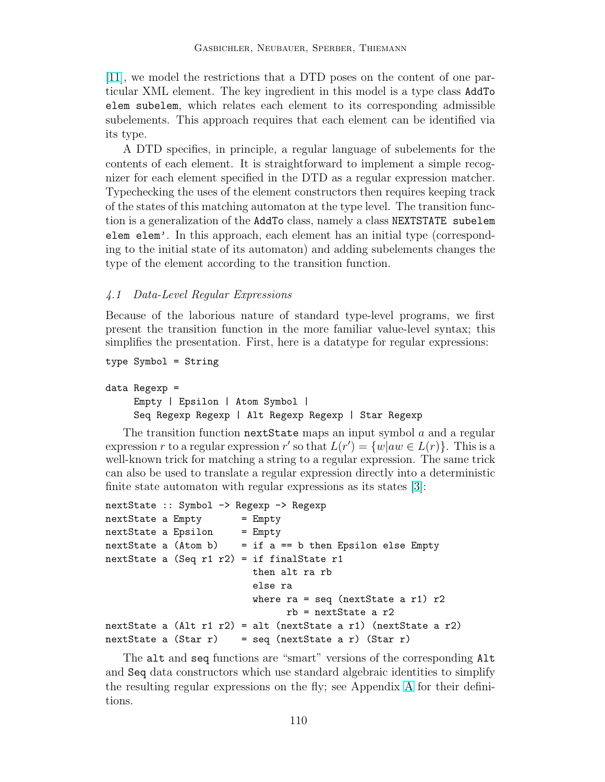[\[11\]](#page-17-0), we model the restrictions that a DTD poses on the content of one particular XML element. The key ingredient in this model is a type class AddTo elem subelem, which relates each element to its corresponding admissible subelements. This approach requires that each element can be identified via its type.

A DTD specifies, in principle, a regular language of subelements for the contents of each element. It is straightforward to implement a simple recognizer for each element specified in the DTD as a regular expression matcher. Typechecking the uses of the element constructors then requires keeping track of the states of this matching automaton at the type level. The transition function is a generalization of the AddTo class, namely a class NEXTSTATE subelem elem elem'. In this approach, each element has an initial type (corresponding to the initial state of its automaton) and adding subelements changes the type of the element according to the transition function.

#### 4.1 Data-Level Regular Expressions

Because of the laborious nature of standard type-level programs, we first present the transition function in the more familiar value-level syntax; this simplifies the presentation. First, here is a datatype for regular expressions:

```
type Symbol = String
```

```
data Regexp =
     Empty | Epsilon | Atom Symbol |
     Seq Regexp Regexp | Alt Regexp Regexp | Star Regexp
```
The transition function next State maps an input symbol  $a$  and a regular expression r to a regular expression r' so that  $L(r') = \{w|aw \in L(r)\}\.$  This is a well-known trick for matching a string to a regular expression. The same trick can also be used to translate a regular expression directly into a deterministic finite state automaton with regular expressions as its states [\[3\]](#page-17-0):

```
nextState :: Symbol -> Regexp -> Regexp
nextState a Empty = Empty
nextState a Epsilon = Empty
nextState a (Atom b) = if a == b then Epsilon else Empty
nextState a (Seq r1 r2) = if finalState r1then alt ra rb
                         else ra
                         where ra = seq (nextState a r1) r2rb = nextState a r2
nextState a (Alt r1 r2) = alt (nextState a r1) (nextState a r2)
nextState a (Star r) = seq (nextState a r) (Star r)
```
The alt and seq functions are "smart" versions of the corresponding Alt and Seq data constructors which use standard algebraic identities to simplify the resulting regular expressions on the fly; see Appendix [A](#page-1-0) for their definitions.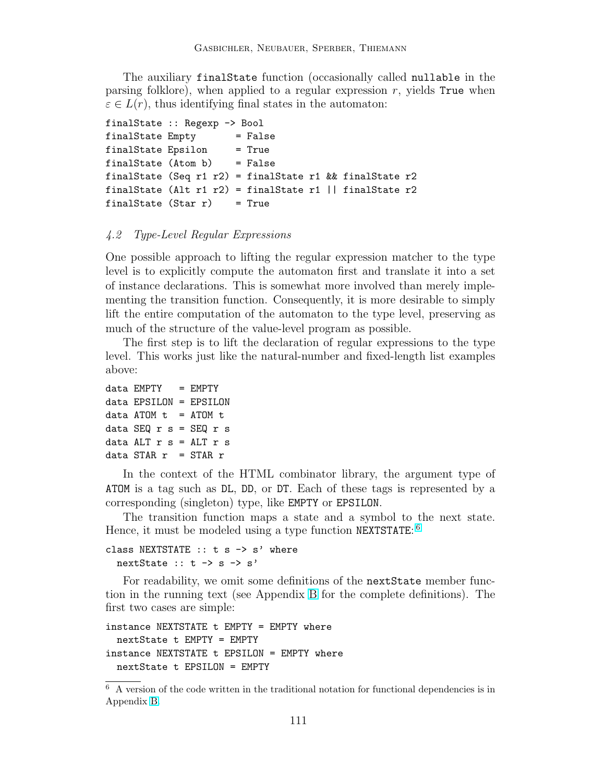The auxiliary finalState function (occasionally called nullable in the parsing folklore), when applied to a regular expression  $r$ , yields True when  $\varepsilon \in L(r)$ , thus identifying final states in the automaton:

```
finalState :: Regexp -> Bool
finalState Empty = False
finalState Epsilon = True
finalState (Atom b) = False
finalState (Seq r1 r2) = finalState r1 && finalState r2
finalState (Alt r1 r2) = finalState r1 || finalState r2
finalState (Star r) = True
```
#### 4.2 Type-Level Regular Expressions

One possible approach to lifting the regular expression matcher to the type level is to explicitly compute the automaton first and translate it into a set of instance declarations. This is somewhat more involved than merely implementing the transition function. Consequently, it is more desirable to simply lift the entire computation of the automaton to the type level, preserving as much of the structure of the value-level program as possible.

The first step is to lift the declaration of regular expressions to the type level. This works just like the natural-number and fixed-length list examples above:

```
data EMPTY = EMPTYdata EPSILON = EPSILON
data ATOM t = ATOM t
data SEQ r s = SEQ r s
data ALT r s = ALT r s
data STAR r = STAR r
```
In the context of the HTML combinator library, the argument type of ATOM is a tag such as DL, DD, or DT. Each of these tags is represented by a corresponding (singleton) type, like EMPTY or EPSILON.

The transition function maps a state and a symbol to the next state. Hence, it must be modeled using a type function NEXTSTATE: <sup>6</sup>

class NEXTSTATE  $:: t s -> s'$  where nextState ::  $t \rightarrow s \rightarrow s'$ 

For readability, we omit some definitions of the nextState member function in the running text (see Appendix [B](#page-4-0) for the complete definitions). The first two cases are simple:

```
instance NEXTSTATE t EMPTY = EMPTY where
  nextState t EMPTY = EMPTY
instance NEXTSTATE t EPSILON = EMPTY where
  nextState t EPSILON = EMPTY
```
 $6\,$  A version of the code written in the traditional notation for functional dependencies is in Appendix [B.](#page-4-0)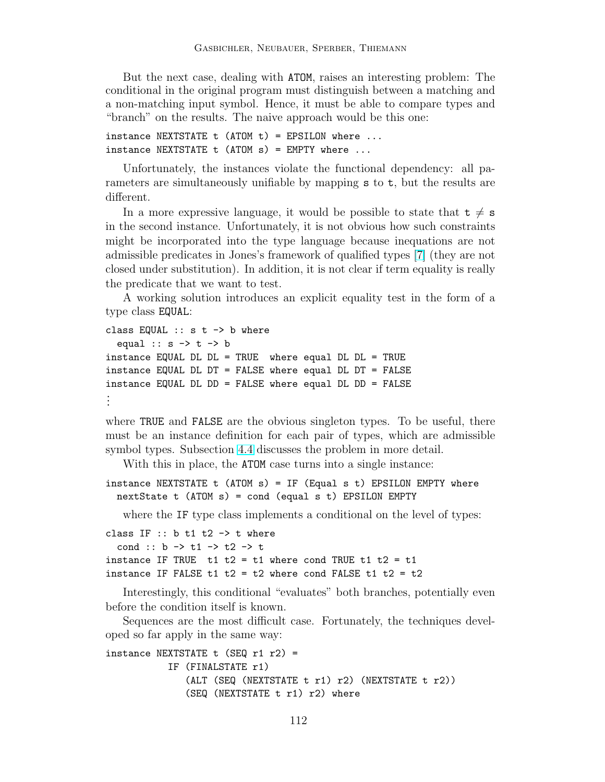But the next case, dealing with ATOM, raises an interesting problem: The conditional in the original program must distinguish between a matching and a non-matching input symbol. Hence, it must be able to compare types and "branch" on the results. The naive approach would be this one:

```
instance NEXTSTATE t (ATOM t) = EPSILON where ...
instance NEXTSTATE t (ATOM s) = EMPTY where \ldots
```
Unfortunately, the instances violate the functional dependency: all parameters are simultaneously unifiable by mapping s to t, but the results are different.

In a more expressive language, it would be possible to state that  $t \neq s$ in the second instance. Unfortunately, it is not obvious how such constraints might be incorporated into the type language because inequations are not admissible predicates in Jones's framework of qualified types [\[7\]](#page-17-0) (they are not closed under substitution). In addition, it is not clear if term equality is really the predicate that we want to test.

A working solution introduces an explicit equality test in the form of a type class EQUAL:

```
class EQUAL :: s t -> b where
  equal :: s \rightarrow t \rightarrow binstance EQUAL DL DL = TRUE where equal DL DL = TRUE
instance EQUAL DL DT = FALSE where equal DL DT = FALSE
instance EQUAL DL DD = FALSE where equal DL DD = FALSE
...
```
where TRUE and FALSE are the obvious singleton types. To be useful, there must be an instance definition for each pair of types, which are admissible symbol types. Subsection [4.4](#page-13-0) discusses the problem in more detail.

With this in place, the **ATOM** case turns into a single instance:

```
instance NEXTSTATE t (ATOM s) = IF (Equal s t) EPSILON EMPTY where
  nextState t (ATOM s) = cond (equal s t) EPSILON EMPTY
```
where the IF type class implements a conditional on the level of types:

```
class IF :: b t1 t2 -> t where
  cond :: b \rightarrow t1 \rightarrow t2 \rightarrow tinstance IF TRUE t1 t2 = t1 where cond TRUE t1 t2 = t1
instance IF FALSE t1 t2 = t2 where cond FALSE t1 t2 = t2
```
Interestingly, this conditional "evaluates" both branches, potentially even before the condition itself is known.

Sequences are the most difficult case. Fortunately, the techniques developed so far apply in the same way:

```
instance NEXTSTATE t (SEQ r1 r2) =
           IF (FINALSTATE r1)
              (ALT (SEQ (NEXTSTATE t r1) r2) (NEXTSTATE t r2))
              (SEQ (NEXTSTATE t r1) r2) where
```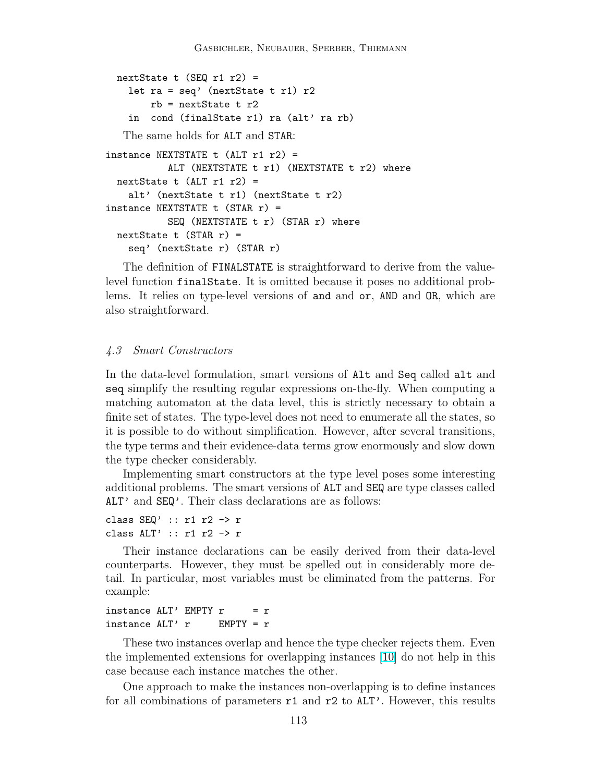```
nextState t (SEQ r1 r2) =
    let ra = seq' (nextState t r1) r2rb = nextState t r2in cond (finalState r1) ra (alt' ra rb)
   The same holds for ALT and STAR:
instance NEXTSTATE t (ALT r1 r2) =
           ALT (NEXTSTATE t r1) (NEXTSTATE t r2) where
 nextState t (ALT r1 r2) =alt' (nextState t r1) (nextState t r2)
instance NEXTSTATE t (STAR r) =
           SEQ (NEXTSTATE t r) (STAR r) where
 nextState t (STAR r) =seq' (nextState r) (STAR r)
```
The definition of FINALSTATE is straightforward to derive from the valuelevel function finalState. It is omitted because it poses no additional problems. It relies on type-level versions of and and or, AND and OR, which are also straightforward.

#### 4.3 Smart Constructors

In the data-level formulation, smart versions of Alt and Seq called alt and seq simplify the resulting regular expressions on-the-fly. When computing a matching automaton at the data level, this is strictly necessary to obtain a finite set of states. The type-level does not need to enumerate all the states, so it is possible to do without simplification. However, after several transitions, the type terms and their evidence-data terms grow enormously and slow down the type checker considerably.

Implementing smart constructors at the type level poses some interesting additional problems. The smart versions of ALT and SEQ are type classes called ALT' and SEQ'. Their class declarations are as follows:

```
class SEQ' :: r1 r2 -> r
class ALT' :: r1 r2 -> r
```
Their instance declarations can be easily derived from their data-level counterparts. However, they must be spelled out in considerably more detail. In particular, most variables must be eliminated from the patterns. For example:

instance  $ALT'$  EMPTY  $r = r$ instance  $ALT'$   $r$  EMPTY =  $r$ 

These two instances overlap and hence the type checker rejects them. Even the implemented extensions for overlapping instances [\[10\]](#page-17-0) do not help in this case because each instance matches the other.

One approach to make the instances non-overlapping is to define instances for all combinations of parameters  $r1$  and  $r2$  to  $ALT'$ . However, this results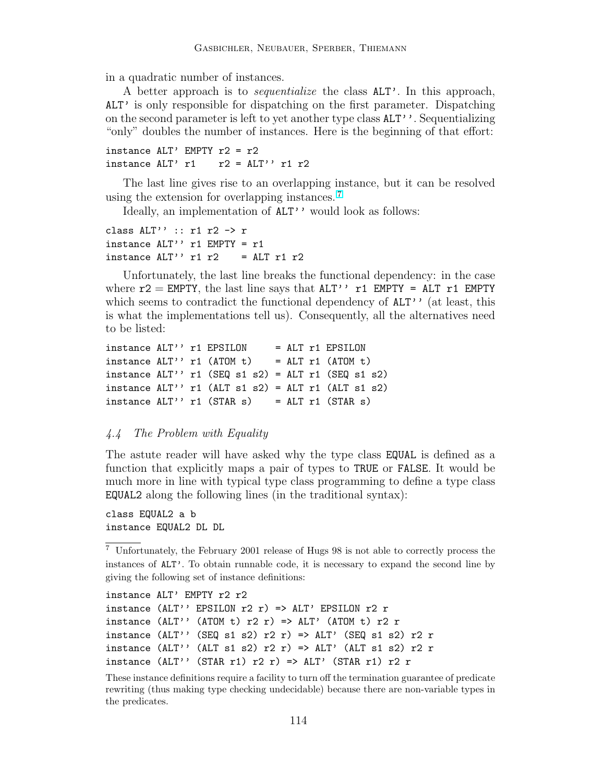<span id="page-13-0"></span>in a quadratic number of instances.

A better approach is to *sequentialize* the class **ALT**'. In this approach, ALT' is only responsible for dispatching on the first parameter. Dispatching on the second parameter is left to yet another type class ALT''. Sequentializing "only" doubles the number of instances. Here is the beginning of that effort:

instance  $ALT'$  EMPTY  $r2 = r2$ instance ALT' r1  $r2 = ALT'$  r1 r2

The last line gives rise to an overlapping instance, but it can be resolved using the extension for overlapping instances. <sup>7</sup>

Ideally, an implementation of ALT'' would look as follows:

class ALT'' :: r1 r2 -> r instance ALT'' r1 EMPTY = r1 instance  $ALT'$ ' r1 r2 =  $ALT$  r1 r2

Unfortunately, the last line breaks the functional dependency: in the case where  $r2$  = EMPTY, the last line says that ALT''  $r1$  EMPTY = ALT  $r1$  EMPTY which seems to contradict the functional dependency of  $ALT'$  (at least, this is what the implementations tell us). Consequently, all the alternatives need to be listed:

```
instance ALT'' r1 EPSILON = ALT r1 EPSILON
instance ALT'' r1 (ATOM t) = ALT r1 (ATOM t)instance ALT'' r1 (SEQ s1 s2) = ALT r1 (SEQ s1 s2)
instance ALT'' r1 (ALT s1 s2) = ALT r1 (ALT s1 s2)instance ALT'' r1 (STAR s) = ALT r1 (STAR s)
```
#### 4.4 The Problem with Equality

The astute reader will have asked why the type class EQUAL is defined as a function that explicitly maps a pair of types to TRUE or FALSE. It would be much more in line with typical type class programming to define a type class EQUAL2 along the following lines (in the traditional syntax):

class EQUAL2 a b instance EQUAL2 DL DL

```
instance ALT' EMPTY r2 r2
instance (ALT'' EPSILON r2 r) => ALT' EPSILON r2 r
instance (ALT'' (ATOM t) r2 r) => ALT' (ATOM t) r2 rinstance (ALT'' (SEQ s1 s2) r2 r) => ALT' (SEQ s1 s2) r2 r
instance (ALT'' (ALT s1 s2) r2 r) => ALT' (ALT s1 s2) r2 rinstance (ALT'' (STAR r1) r2 r) => ALT' (STAR r1) r2 r
```
These instance definitions require a facility to turn off the termination guarantee of predicate rewriting (thus making type checking undecidable) because there are non-variable types in the predicates.

<sup>7</sup> Unfortunately, the February 2001 release of Hugs 98 is not able to correctly process the instances of ALT'. To obtain runnable code, it is necessary to expand the second line by giving the following set of instance definitions: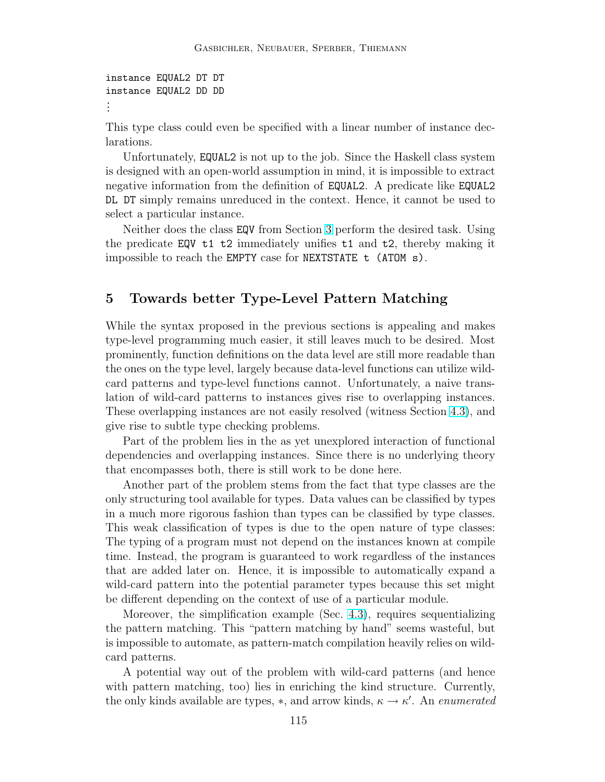```
instance EQUAL2 DT DT
instance EQUAL2 DD DD
...
```
This type class could even be specified with a linear number of instance declarations.

Unfortunately, EQUAL2 is not up to the job. Since the Haskell class system is designed with an open-world assumption in mind, it is impossible to extract negative information from the definition of EQUAL2. A predicate like EQUAL2 DL DT simply remains unreduced in the context. Hence, it cannot be used to select a particular instance.

Neither does the class EQV from Section [3](#page-6-0) perform the desired task. Using the predicate EQV t1 t2 immediately unifies t1 and t2, thereby making it impossible to reach the EMPTY case for NEXTSTATE t (ATOM s).

# 5 Towards better Type-Level Pattern Matching

While the syntax proposed in the previous sections is appealing and makes type-level programming much easier, it still leaves much to be desired. Most prominently, function definitions on the data level are still more readable than the ones on the type level, largely because data-level functions can utilize wildcard patterns and type-level functions cannot. Unfortunately, a naive translation of wild-card patterns to instances gives rise to overlapping instances. These overlapping instances are not easily resolved (witness Section [4.3\)](#page-12-0), and give rise to subtle type checking problems.

Part of the problem lies in the as yet unexplored interaction of functional dependencies and overlapping instances. Since there is no underlying theory that encompasses both, there is still work to be done here.

Another part of the problem stems from the fact that type classes are the only structuring tool available for types. Data values can be classified by types in a much more rigorous fashion than types can be classified by type classes. This weak classification of types is due to the open nature of type classes: The typing of a program must not depend on the instances known at compile time. Instead, the program is guaranteed to work regardless of the instances that are added later on. Hence, it is impossible to automatically expand a wild-card pattern into the potential parameter types because this set might be different depending on the context of use of a particular module.

Moreover, the simplification example (Sec. [4.3\)](#page-12-0), requires sequentializing the pattern matching. This "pattern matching by hand" seems wasteful, but is impossible to automate, as pattern-match compilation heavily relies on wildcard patterns.

A potential way out of the problem with wild-card patterns (and hence with pattern matching, too) lies in enriching the kind structure. Currently, the only kinds available are types, \*, and arrow kinds,  $\kappa \to \kappa'$ . An enumerated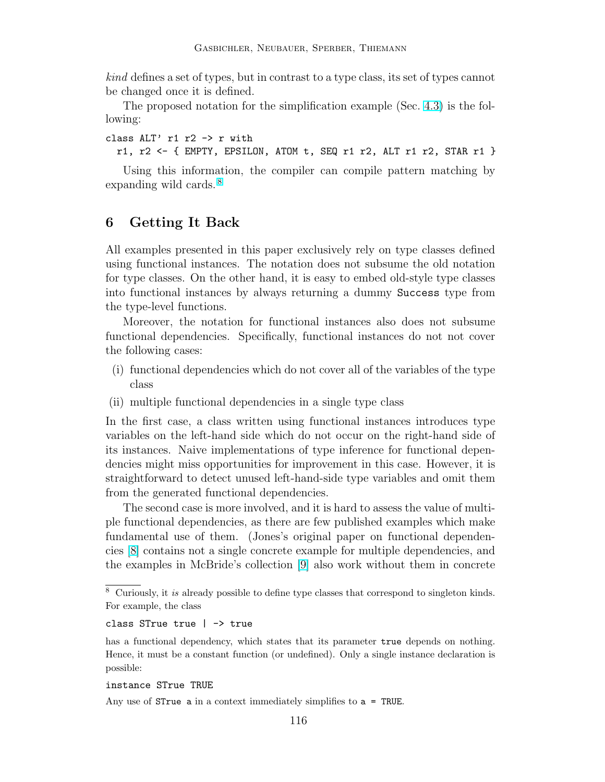kind defines a set of types, but in contrast to a type class, its set of types cannot be changed once it is defined.

The proposed notation for the simplification example (Sec. [4.3\)](#page-12-0) is the following:

```
class ALT' r1 r2 -> r with
  r1, r2 \leftarrow \{ EMPTY, EPSILON, ATOM t, SEQ r1 r2, ALT r1 r2, STAR r1 }
```
Using this information, the compiler can compile pattern matching by expanding wild cards. <sup>8</sup>

# 6 Getting It Back

All examples presented in this paper exclusively rely on type classes defined using functional instances. The notation does not subsume the old notation for type classes. On the other hand, it is easy to embed old-style type classes into functional instances by always returning a dummy Success type from the type-level functions.

Moreover, the notation for functional instances also does not subsume functional dependencies. Specifically, functional instances do not not cover the following cases:

- (i) functional dependencies which do not cover all of the variables of the type class
- (ii) multiple functional dependencies in a single type class

In the first case, a class written using functional instances introduces type variables on the left-hand side which do not occur on the right-hand side of its instances. Naive implementations of type inference for functional dependencies might miss opportunities for improvement in this case. However, it is straightforward to detect unused left-hand-side type variables and omit them from the generated functional dependencies.

The second case is more involved, and it is hard to assess the value of multiple functional dependencies, as there are few published examples which make fundamental use of them. (Jones's original paper on functional dependencies [\[8\]](#page-17-0) contains not a single concrete example for multiple dependencies, and the examples in McBride's collection [\[9\]](#page-17-0) also work without them in concrete

#### instance STrue TRUE

Any use of STrue a in a context immediately simplifies to a = TRUE.

<sup>8</sup> Curiously, it is already possible to define type classes that correspond to singleton kinds. For example, the class

class STrue true | -> true

has a functional dependency, which states that its parameter true depends on nothing. Hence, it must be a constant function (or undefined). Only a single instance declaration is possible: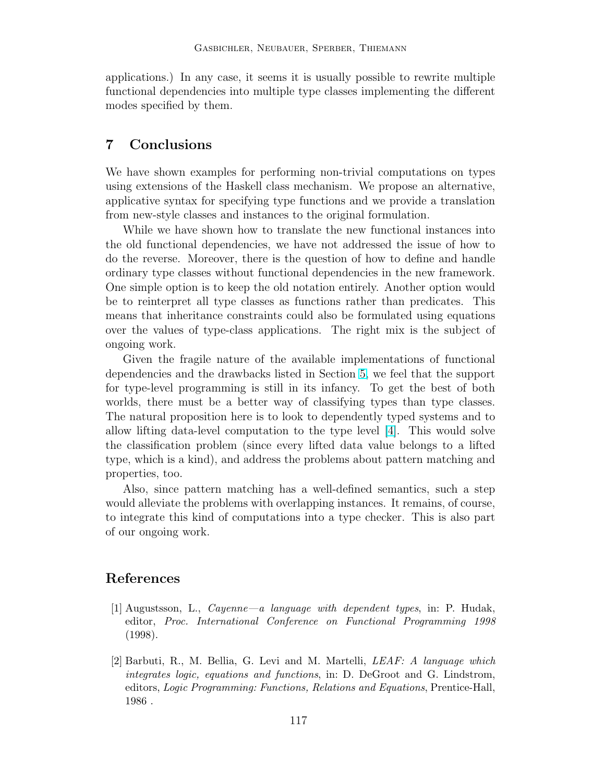<span id="page-16-0"></span>applications.) In any case, it seems it is usually possible to rewrite multiple functional dependencies into multiple type classes implementing the different modes specified by them.

# 7 Conclusions

We have shown examples for performing non-trivial computations on types using extensions of the Haskell class mechanism. We propose an alternative, applicative syntax for specifying type functions and we provide a translation from new-style classes and instances to the original formulation.

While we have shown how to translate the new functional instances into the old functional dependencies, we have not addressed the issue of how to do the reverse. Moreover, there is the question of how to define and handle ordinary type classes without functional dependencies in the new framework. One simple option is to keep the old notation entirely. Another option would be to reinterpret all type classes as functions rather than predicates. This means that inheritance constraints could also be formulated using equations over the values of type-class applications. The right mix is the subject of ongoing work.

Given the fragile nature of the available implementations of functional dependencies and the drawbacks listed in Section [5,](#page-14-0) we feel that the support for type-level programming is still in its infancy. To get the best of both worlds, there must be a better way of classifying types than type classes. The natural proposition here is to look to dependently typed systems and to allow lifting data-level computation to the type level [\[4\]](#page-17-0). This would solve the classification problem (since every lifted data value belongs to a lifted type, which is a kind), and address the problems about pattern matching and properties, too.

Also, since pattern matching has a well-defined semantics, such a step would alleviate the problems with overlapping instances. It remains, of course, to integrate this kind of computations into a type checker. This is also part of our ongoing work.

# References

- [1] Augustsson, L., Cayenne—a language with dependent types, in: P. Hudak, editor, Proc. International Conference on Functional Programming 1998 (1998).
- [2] Barbuti, R., M. Bellia, G. Levi and M. Martelli, LEAF: A language which integrates logic, equations and functions, in: D. DeGroot and G. Lindstrom, editors, Logic Programming: Functions, Relations and Equations, Prentice-Hall, 1986 .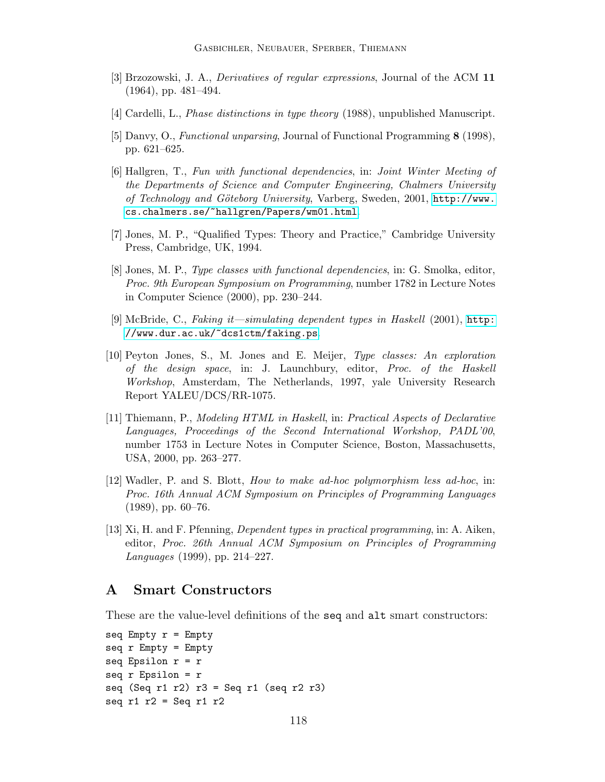- <span id="page-17-0"></span>[3] Brzozowski, J. A., Derivatives of regular expressions, Journal of the ACM 11 (1964), pp. 481–494.
- [4] Cardelli, L., Phase distinctions in type theory (1988), unpublished Manuscript.
- [5] Danvy, O., Functional unparsing, Journal of Functional Programming 8 (1998), pp. 621–625.
- [6] Hallgren, T., Fun with functional dependencies, in: Joint Winter Meeting of the Departments of Science and Computer Engineering, Chalmers University of Technology and Göteborg University, Varberg, Sweden, 2001, [http://www.](http://www.cs.chalmers.se/~hallgren/Papers/wm01.html) [cs.chalmers.se/~hallgren/Papers/wm01.html](http://www.cs.chalmers.se/~hallgren/Papers/wm01.html).
- [7] Jones, M. P., "Qualified Types: Theory and Practice," Cambridge University Press, Cambridge, UK, 1994.
- [8] Jones, M. P., Type classes with functional dependencies, in: G. Smolka, editor, Proc. 9th European Symposium on Programming, number 1782 in Lecture Notes in Computer Science (2000), pp. 230–244.
- [9] McBride, C., Faking it—simulating dependent types in Haskell (2001), [http:](http://www.dur.ac.uk/~dcs1ctm/faking.ps) [//www.dur.ac.uk/~dcs1ctm/faking.ps](http://www.dur.ac.uk/~dcs1ctm/faking.ps).
- [10] Peyton Jones, S., M. Jones and E. Meijer, Type classes: An exploration of the design space, in: J. Launchbury, editor, Proc. of the Haskell Workshop, Amsterdam, The Netherlands, 1997, yale University Research Report YALEU/DCS/RR-1075.
- [11] Thiemann, P., Modeling HTML in Haskell, in: Practical Aspects of Declarative Languages, Proceedings of the Second International Workshop, PADL'00, number 1753 in Lecture Notes in Computer Science, Boston, Massachusetts, USA, 2000, pp. 263–277.
- [12] Wadler, P. and S. Blott, How to make ad-hoc polymorphism less ad-hoc, in: Proc. 16th Annual ACM Symposium on Principles of Programming Languages  $(1989)$ , pp. 60–76.
- [13] Xi, H. and F. Pfenning, Dependent types in practical programming, in: A. Aiken, editor, Proc. 26th Annual ACM Symposium on Principles of Programming Languages (1999), pp. 214–227.

### A Smart Constructors

These are the value-level definitions of the seq and alt smart constructors:

```
seq Empty r = Empty
seq r Empty = Empty
seq Epsilon r = rseq r Epsilon = r
seq (Seq r1 r2) r3 = Seq r1 (seq r2 r3)
seq r1 r2 = Seq r1 r2
```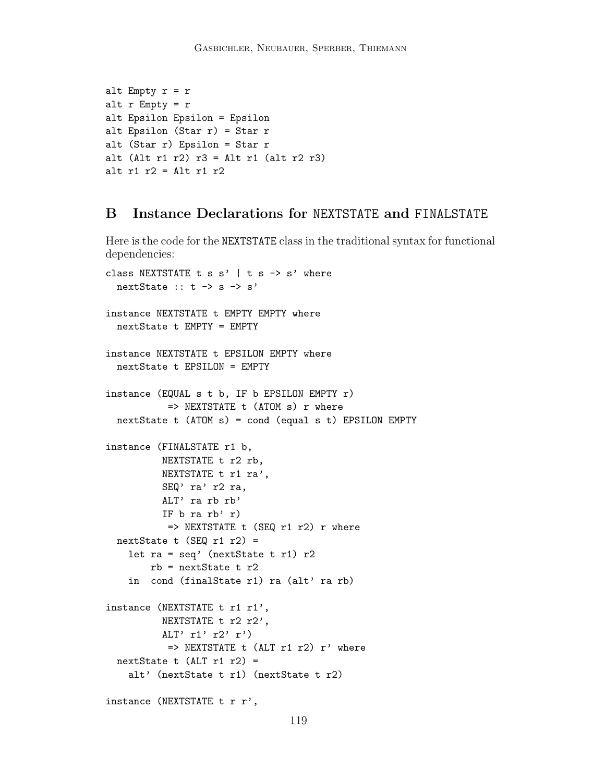```
alt Empty r = ralt r Empty = ralt Epsilon Epsilon = Epsilon
alt Epsilon (Star r) = Star r
alt (Star r) Epsilon = Star r
alt (Alt r1 r2) r3 = Alt r1 (alt r2 r3)
alt r1 r2 = Alt r1 r2
```
# B Instance Declarations for NEXTSTATE and FINALSTATE

Here is the code for the NEXTSTATE class in the traditional syntax for functional dependencies:

```
class NEXTSTATE t s s' | t s \rightarrow s' where
  nextState :: t \rightarrow s \rightarrow s'instance NEXTSTATE t EMPTY EMPTY where
  nextState t EMPTY = EMPTY
instance NEXTSTATE t EPSILON EMPTY where
  nextState t EPSILON = EMPTY
instance (EQUAL s t b, IF b EPSILON EMPTY r)
           => NEXTSTATE t (ATOM s) r where
 nextState t (ATOM s) = cond (equal s t) EPSILON EMPTY
instance (FINALSTATE r1 b,
          NEXTSTATE t r2 rb,
          NEXTSTATE t r1 ra',
          SEQ' ra' r2 ra,
          ALT' ra rb rb'
          IF b ra rb' r)
           \Rightarrow NEXTSTATE t (SEQ r1 r2) r where
  nextState t (SEq r1 r2) =let ra = seq' (nextState t r1) r2
        rb = nextState t r2
    in cond (finalState r1) ra (alt' ra rb)
instance (NEXTSTATE t r1 r1',
          NEXTSTATE t r2 r2',
          ALT' r1' r2' r')
           \Rightarrow NEXTSTATE t (ALT r1 r2) r' where
  nextState t (ALT r1 r2) =alt' (nextState t r1) (nextState t r2)
instance (NEXTSTATE t r r',
```